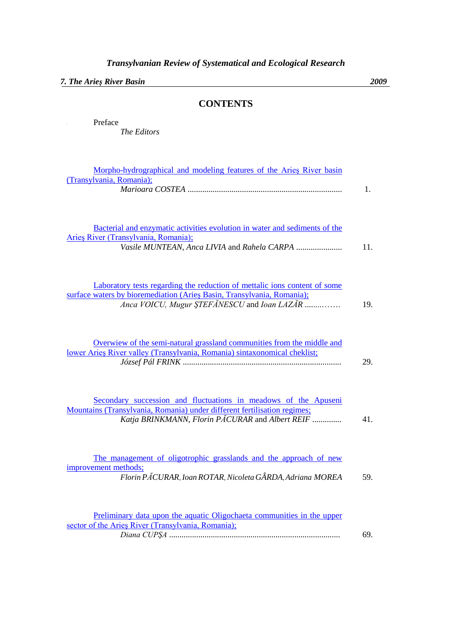*7. The Arieş River Basin 2009*

## **CONTENTS**

| Preface<br>The Editors                                                                                                                                                                             |     |
|----------------------------------------------------------------------------------------------------------------------------------------------------------------------------------------------------|-----|
| Morpho-hydrographical and modeling features of the Aries River basin<br>(Transylvania, Romania);                                                                                                   | 1.  |
| Bacterial and enzymatic activities evolution in water and sediments of the<br>Arieș River (Transylvania, Romania);<br>Vasile MUNTEAN, Anca LIVIA and Rahela CARPA                                  | 11. |
| Laboratory tests regarding the reduction of mettalic ions content of some<br>surface waters by bioremediation (Aries Basin, Transylvania, Romania);<br>Anca VOICU, Mugur ȘTEFĂNESCU and Ioan LAZĂR | 19. |
| Overwiew of the semi-natural grassland communities from the middle and<br>lower Aries River valley (Transylvania, Romania) sintaxonomical cheklist;                                                | 29. |
| Secondary succession and fluctuations in meadows of the Apuseni<br>Mountains (Transylvania, Romania) under different fertilisation regimes;<br>Katja BRINKMANN, Florin PACURAR and Albert REIF     | 41. |
| The management of oligotrophic grasslands and the approach of new<br>improvement methods;<br>Florin PACURAR, Ioan ROTAR, Nicoleta GÂRDA, Adriana MOREA                                             | 59. |
| Preliminary data upon the aquatic Oligochaeta communities in the upper<br>sector of the Aries River (Transylvania, Romania);                                                                       | 69. |